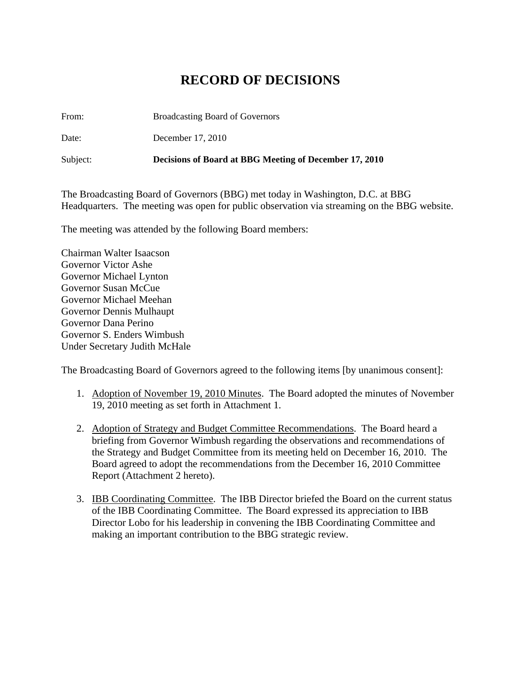## **RECORD OF DECISIONS**

From: Broadcasting Board of Governors

Date: December 17, 2010

Subject: **Decisions of Board at BBG Meeting of December 17, 2010** 

The Broadcasting Board of Governors (BBG) met today in Washington, D.C. at BBG Headquarters. The meeting was open for public observation via streaming on the BBG website.

The meeting was attended by the following Board members:

Chairman Walter Isaacson Governor Victor Ashe Governor Michael Lynton Governor Susan McCue Governor Michael Meehan Governor Dennis Mulhaupt Governor Dana Perino Governor S. Enders Wimbush Under Secretary Judith McHale

The Broadcasting Board of Governors agreed to the following items [by unanimous consent]:

- 1. Adoption of November 19, 2010 Minutes. The Board adopted the minutes of November 19, 2010 meeting as set forth in Attachment 1.
- 2. Adoption of Strategy and Budget Committee Recommendations. The Board heard a briefing from Governor Wimbush regarding the observations and recommendations of the Strategy and Budget Committee from its meeting held on December 16, 2010. The Board agreed to adopt the recommendations from the December 16, 2010 Committee Report (Attachment 2 hereto).
- 3. IBB Coordinating Committee. The IBB Director briefed the Board on the current status of the IBB Coordinating Committee. The Board expressed its appreciation to IBB Director Lobo for his leadership in convening the IBB Coordinating Committee and making an important contribution to the BBG strategic review.